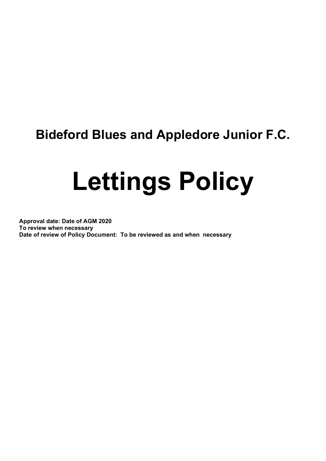## Bideford Blues and Appledore Junior F.C.

# Lettings Policy

Approval date: Date of AGM 2020 To review when necessary Date of review of Policy Document: To be reviewed as and when necessary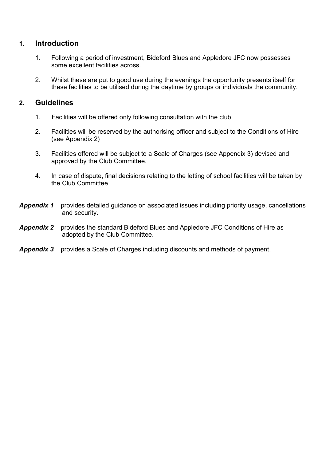## 1. Introduction

- 1. Following a period of investment, Bideford Blues and Appledore JFC now possesses some excellent facilities across.
- 2. Whilst these are put to good use during the evenings the opportunity presents itself for these facilities to be utilised during the daytime by groups or individuals the community.

## 2. Guidelines

- 1. Facilities will be offered only following consultation with the club
- 2. Facilities will be reserved by the authorising officer and subject to the Conditions of Hire (see Appendix 2)
- 3. Facilities offered will be subject to a Scale of Charges (see Appendix 3) devised and approved by the Club Committee.
- 4. In case of dispute, final decisions relating to the letting of school facilities will be taken by the Club Committee
- Appendix 1 provides detailed guidance on associated issues including priority usage, cancellations and security.
- Appendix 2 provides the standard Bideford Blues and Appledore JFC Conditions of Hire as adopted by the Club Committee.
- Appendix 3 provides a Scale of Charges including discounts and methods of payment.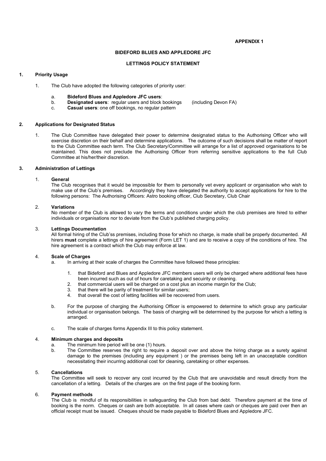## APPENDIX 1

#### BIDEFORD BLUES AND APPLEDORE JFC

#### LETTINGS POLICY STATEMENT

#### 1. Priority Usage

- 1. The Club have adopted the following categories of priority user:
	- a. Bideford Blues and Appledore JFC users:
	- b. **Designated users:** regular users and block bookings (including Devon FA)
	- c. Casual users: one off bookings, no regular pattern

#### 2. Applications for Designated Status

1. The Club Committee have delegated their power to determine designated status to the Authorising Officer who will exercise discretion on their behalf and determine applications. The outcome of such decisions shall be matter of report to the Club Committee each term. The Club Secretary/Committee will arrange for a list of approved organisations to be maintained. This does not preclude the Authorising Officer from referring sensitive applications to the full Club Committee at his/her/their discretion.

#### 3. Administration of Lettings

#### 1. General

The Club recognises that it would be impossible for them to personally vet every applicant or organisation who wish to make use of the Club's premises. Accordingly they have delegated the authority to accept applications for hire to the following persons: The Authorising Officers: Astro booking officer, Club Secretary, Club Chair

#### 2. Variations

No member of the Club is allowed to vary the terms and conditions under which the club premises are hired to either individuals or organisations nor to deviate from the Club's published charging policy.

#### 3. Lettings Documentation

All formal hiring of the Club'ss premises, including those for which no charge, is made shall be properly documented. All hirers must complete a lettings of hire agreement (Form LET 1) and are to receive a copy of the conditions of hire. The hire agreement is a contract which the Club may enforce at law.

#### 4. Scale of Charges

- a. In arriving at their scale of charges the Committee have followed these principles:
	- that Bideford and Blues and Appledore JFC members users will only be charged where additional fees have been incurred such as out of hours for caretaking and secuirity or cleaning.
	- 2. that commercial users will be charged on a cost plus an income margin for the Club;
	- 3. that there will be parity of treatment for similar users;
	- 4. that overall the cost of letting facilities will be recovered from users.
- b. For the purpose of charging the Authorising Officer is empowered to determine to which group any particular individual or organisation belongs. The basis of charging will be determined by the purpose for which a letting is arranged.
- c. The scale of charges forms Appendix III to this policy statement.

#### 4. Minimum charges and deposits

- a. The minimum hire period will be one (1) hours.
- b. The Committee reserves the right to require a deposit over and above the hiring charge as a surety against damage to the premises (including any equipment ) or the premises being left in an unacceptable condition necessitating their incurring additional cost for cleaning, caretaking or other expenses.

#### 5. Cancellations

The Committee will seek to recover any cost incurred by the Club that are unavoidable and result directly from the cancellation of a letting. Details of the charges are on the first page of the booking form.

#### 6. Payment methods

The Club is mindful of its responsibilities in safeguarding the Club from bad debt. Therefore payment at the time of booking is the norm. Cheques or cash are both acceptable. In all cases where cash or cheques are paid over then an official receipt must be issued. Cheques should be made payable to Bideford Blues and Appledore JFC.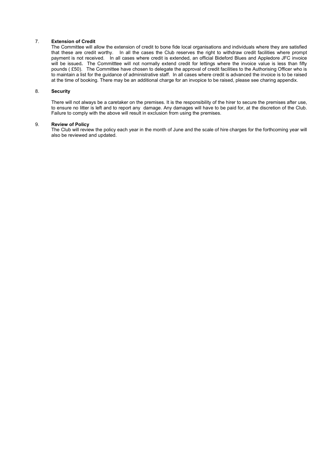#### 7. Extension of Credit

The Committee will allow the extension of credit to bone fide local organisations and individuals where they are satisfied that these are credit worthy. In all the cases the Club reserves the right to withdraw credit facilities where prompt payment is not received. In all cases where credit is extended, an official Bideford Blues and Appledore JFC invoice will be issued. The Committtee will not normally extend credit for lettings where the invoice value is less than fifty pounds ( £50). The Committee have chosen to delegate the approval of credit facilities to the Authorising Officer who is to maintain a list for the guidance of administrative staff. In all cases where credit is advanced the invoice is to be raised at the time of booking. There may be an additional charge for an invopice to be raised, please see charing appendix.

#### 8. Security

There will not always be a caretaker on the premises. It is the responsibility of the hirer to secure the premises after use, to ensure no litter is left and to report any damage. Any damages will have to be paid for, at the discretion of the Club. Failure to comply with the above will result in exclusion from using the premises.

#### 9. Review of Policy

The Club will review the policy each year in the month of June and the scale of hire charges for the forthcoming year will also be reviewed and updated.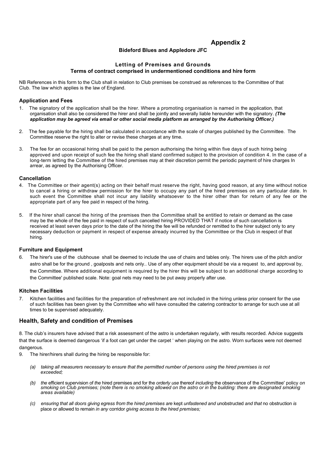### Appendix 2

#### Bideford Blues and Appledore JFC

#### Letting of Premises and Grounds Terms of contract comprised in undermentioned conditions and hire form

NB References in this form to the Club shall in relation to Club premises be construed as references to the Committee of that Club. The law which applies is the law of England.

#### Application and Fees

- 1. The signatory of the application shall be the hirer. Where a promoting organisation is named in the application, that organisation shall also be considered the hirer and shall be jointly and severally liable hereunder with the signatory. (The application may be agreed via email or other social media platform as arranged by the Authorising Officer.)
- 2. The fee payable for the hiring shall be calculated in accordance with the scale of charges published by the Committee. The Committee reserve the right to alter or revise these charges at any time.
- 3. The fee for an occasional hiring shall be paid to the person authorising the hiring within five days of such hiring being approved and upon receipt of such fee the hiring shall stand confirmed subject to the provision of condition 4. In the case of a long-term letting the Committee of the hired premises may at their discretion permit the periodic payment of hire charges In arrear, as agreed by the Authorising Officer.

#### Cancellation

- 4. The Committee or their agent(s) acting on their behalf must reserve the right, having good reason, at any time without notice to cancel a hiring or withdraw permission for the hirer to occupy any part of the hired premises on any particular date. In such event the Committee shall not incur any liability whatsoever to the hirer other than for return of any fee or the appropriate part of any fee paid in respect of the hiring.
- 5. If the hirer shall cancel the hiring of the premises then the Committee shall be entitled to retain or demand as the case may be the whole of the fee paid in respect of such cancelled hiring PROVIDED THAT if notice of such cancellation is received at least seven days prior to the date of the hiring the fee will be refunded or remitted to the hirer subject only to any necessary deduction or payment in respect of expense already incurred by the Committee or the Club in respect of that hiring.

#### Furniture and Equipment

6. The hirer's use of the clubhouse shall be deemed to include the use of chairs and tables only. The hirers use of the pitch and/or astro shall be for the ground , goalposts and nets only.. Use of any other equipment should be via a request to, and approval by, the Committee. Where additional equipment is required by the hirer this will be subject to an additional charge according to the Committee' published scale. Note: goal nets may need to be put away properly after use.

#### Kitchen Facilities

7. Kitchen facilities and facilities for the preparation of refreshment are not included in the hiring unless prior consent for the use of such facilities has been given by the Committee who will have consulted the catering contractor to arrange for such use at all times to be supervised adequately.

#### Health, Safety and condition of Premises

8. The club's insurers have advised that a risk assessment of the astro is undertaken regularly, with results recorded. Advice suggests that the surface is deemed dangerous 'if a foot can get under the carpet ' when playing on the astro. Worn surfaces were not deemed dangerous.

- 9. The hirer/hirers shall during the hiring be responsible for:
	- (a) taking all measurers necessary to ensure that the permitted number of persons using the hired premises is not exceeded;
	- (b) the efficient supervision of the hired premises and for the orderly use thereof including the observance of the Committee' policy on smoking on Club premises; (note there is no smoking allowed on the astro or in the building: there are designated smoking areas available)
	- (c) ensuring that all doors giving egress from the hired premises are kept unfastened and unobstructed and that no obstruction is place or allowed to remain in any corridor giving access to the hired premises;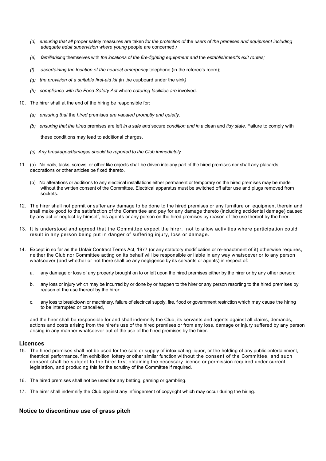- (d) ensuring that all proper safety measures are taken for the protection of the users of the premises and equipment including adequate adult supervision where young people are concerned,•
- (e) familiarising themselves with the locations of the fire-fighting equipment and the establishment's exit routes;
- $(f)$  ascertaining the location of the nearest emergency telephone (in the referee's room);
- (g) the provision of a suitable first-aid kit (in the cupboard under the sink)
- (h) compliance with the Food Safety Act where catering facilities are involved.
- 10. The hirer shall at the end of the hiring be responsible for:
	- (a) ensuring that the hired premises are vacated promptly and quietly.
	- (b) ensuring that the hired premises are left in a safe and secure condition and in a clean and tidy state. Failure to comply with

these conditions may lead to additional charges.

- (c) Any breakages/damages should be reported to the Club immediately
- 11. (a) No nails, tacks, screws, or other like objects shall be driven into any part of the hired premises nor shall any placards, decorations or other articles be fixed thereto.
	- (b) No alterations or additions to any electrical installations either permanent or temporary on the hired premises may be made without the written consent of the Committee. Electrical apparatus must be switched off after use and plugs removed from sockets.
- 12. The hirer shall not permit or suffer any damage to be done to the hired premises or any furniture or equipment therein and shall make good to the satisfaction of the Committee and pay for any damage thereto (including accidental damage) caused by any act or neglect by himself, his agents or any person on the hired premises by reason of the use thereof by the hirer.
- 13. It is understood and agreed that the Committee expect the hirer, not to allow activities where participation could result in any person being put in danger of suffering injury, loss or damage.
- 14. Except in so far as the Unfair Contract Terms Act, 1977 (or any statutory modification or re-enactment of it) otherwise requires, neither the Club nor Committee acting on its behalf will be responsible or liable in any way whatsoever or to any person whatsoever (and whether or not there shall be any negligence by its servants or agents) in respect of:
	- a. any damage or loss of any property brought on to or left upon the hired premises either by the hirer or by any other person;
	- b. any loss or injury which may be incurred by or done by or happen to the hirer or any person resorting to the hired premises by reason of the use thereof by the hirer;
	- c. any loss to breakdown or machinery, failure of electrical supply, fire, flood or government restriction which may cause the hiring to be interrupted or cancelled,

and the hirer shall be responsible for and shall indemnify the Club, its servants and agents against all claims, demands, actions and costs arising from the hirer's use of the hired premises or from any loss, damage or injury suffered by any person arising in any manner whatsoever out of the use of the hired premises by the hirer.

#### Licences

- 15. The hired premises shall not be used for the sale or supply of intoxicating liquor, or the holding of any public entertainment, theatrical performance, film exhibition, lottery or other similar function without the consent of the Committee, and such consent shall be subject to the hirer first obtaining the necessary licence or permission required under current legislation, and producing this for the scrutiny of the Committee if required.
- 16. The hired premises shall not be used for any betting, gaming or gambling.
- 17. The hirer shall indemnify the Club against any infringement of copyright which may occur during the hiring.

#### Notice to discontinue use of grass pitch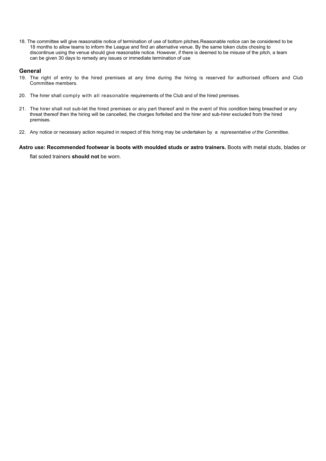18. The committee will give reasonable notice of termination of use of bottom pitches.Reasonable notice can be considered to be 18 months to allow teams to inform the League and find an alternative venue. By the same token clubs chosing to discontinue using the venue should give reasonable notice. However, if there is deemed to be misuse of the pitch, a team can be given 30 days to remedy any issues or immediate termination of use

#### General

- 19. The right of entry to the hired premises at any time during the hiring is reserved for authorised officers and Club Committee members.
- 20. The hirer shall comply with all reasonable requirements of the Club and of the hired premises.
- 21. The hirer shall not sub-let the hired premises or any part thereof and in the event of this condition being breached or any threat thereof then the hiring will be cancelled, the charges forfeited and the hirer and sub-hirer excluded from the hired premises.
- 22. Any notice or necessary action required in respect of this hiring may be undertaken by a representative of the Committee.

Astro use: Recommended footwear is boots with moulded studs or astro trainers. Boots with metal studs, blades or flat soled trainers should not be worn.